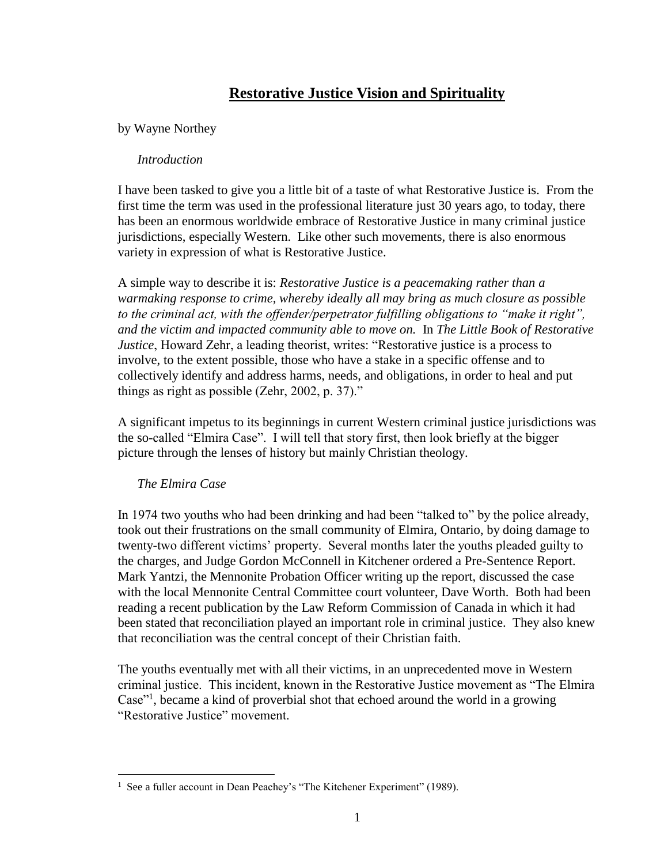# **Restorative Justice Vision and Spirituality**

## by Wayne Northey

### *Introduction*

I have been tasked to give you a little bit of a taste of what Restorative Justice is. From the first time the term was used in the professional literature just 30 years ago, to today, there has been an enormous worldwide embrace of Restorative Justice in many criminal justice jurisdictions, especially Western. Like other such movements, there is also enormous variety in expression of what is Restorative Justice.

A simple way to describe it is: *Restorative Justice is a peacemaking rather than a warmaking response to crime, whereby ideally all may bring as much closure as possible to the criminal act, with the offender/perpetrator fulfilling obligations to "make it right", and the victim and impacted community able to move on.* In *The Little Book of Restorative Justice*, Howard Zehr, a leading theorist, writes: "Restorative justice is a process to involve, to the extent possible, those who have a stake in a specific offense and to collectively identify and address harms, needs, and obligations, in order to heal and put things as right as possible (Zehr, 2002, p. 37)."

A significant impetus to its beginnings in current Western criminal justice jurisdictions was the so-called "Elmira Case". I will tell that story first, then look briefly at the bigger picture through the lenses of history but mainly Christian theology.

# *The Elmira Case*

In 1974 two youths who had been drinking and had been "talked to" by the police already, took out their frustrations on the small community of Elmira, Ontario, by doing damage to twenty-two different victims' property. Several months later the youths pleaded guilty to the charges, and Judge Gordon McConnell in Kitchener ordered a Pre-Sentence Report. Mark Yantzi, the Mennonite Probation Officer writing up the report, discussed the case with the local Mennonite Central Committee court volunteer, Dave Worth. Both had been reading a recent publication by the Law Reform Commission of Canada in which it had been stated that reconciliation played an important role in criminal justice. They also knew that reconciliation was the central concept of their Christian faith.

The youths eventually met with all their victims, in an unprecedented move in Western criminal justice. This incident, known in the Restorative Justice movement as "The Elmira Case"<sup>1</sup> , became a kind of proverbial shot that echoed around the world in a growing "Restorative Justice" movement.

 1 See a fuller account in Dean Peachey's "The Kitchener Experiment" (1989).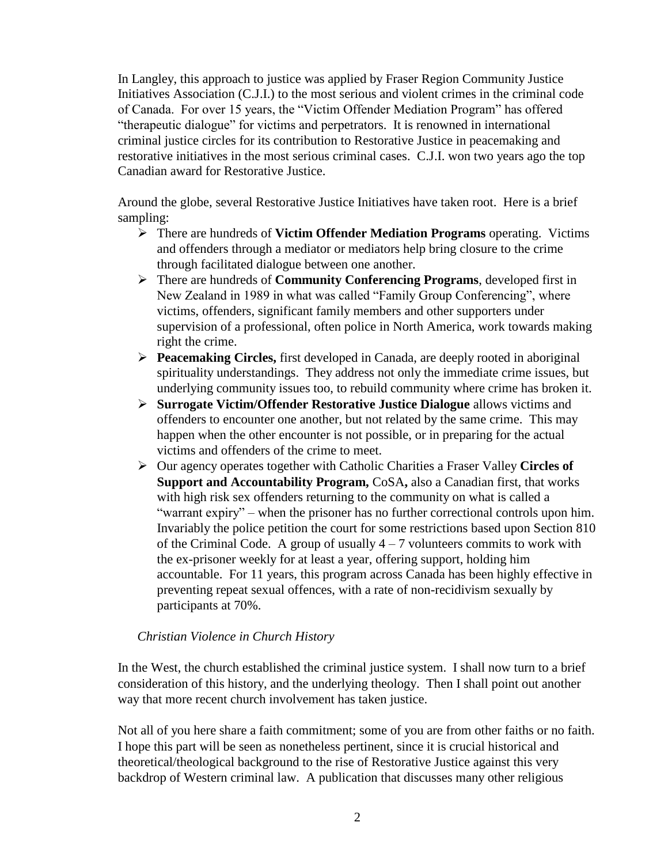In Langley, this approach to justice was applied by Fraser Region Community Justice Initiatives Association (C.J.I.) to the most serious and violent crimes in the criminal code of Canada. For over 15 years, the "Victim Offender Mediation Program" has offered "therapeutic dialogue" for victims and perpetrators. It is renowned in international criminal justice circles for its contribution to Restorative Justice in peacemaking and restorative initiatives in the most serious criminal cases. C.J.I. won two years ago the top Canadian award for Restorative Justice.

Around the globe, several Restorative Justice Initiatives have taken root. Here is a brief sampling:

- There are hundreds of **Victim Offender Mediation Programs** operating. Victims and offenders through a mediator or mediators help bring closure to the crime through facilitated dialogue between one another.
- There are hundreds of **Community Conferencing Programs**, developed first in New Zealand in 1989 in what was called "Family Group Conferencing", where victims, offenders, significant family members and other supporters under supervision of a professional, often police in North America, work towards making right the crime.
- **Peacemaking Circles,** first developed in Canada, are deeply rooted in aboriginal spirituality understandings. They address not only the immediate crime issues, but underlying community issues too, to rebuild community where crime has broken it.
- **Surrogate Victim/Offender Restorative Justice Dialogue** allows victims and offenders to encounter one another, but not related by the same crime. This may happen when the other encounter is not possible, or in preparing for the actual victims and offenders of the crime to meet.
- Our agency operates together with Catholic Charities a Fraser Valley **Circles of Support and Accountability Program,** CoSA**,** also a Canadian first, that works with high risk sex offenders returning to the community on what is called a "warrant expiry" – when the prisoner has no further correctional controls upon him. Invariably the police petition the court for some restrictions based upon Section 810 of the Criminal Code. A group of usually  $4 - 7$  volunteers commits to work with the ex-prisoner weekly for at least a year, offering support, holding him accountable. For 11 years, this program across Canada has been highly effective in preventing repeat sexual offences, with a rate of non-recidivism sexually by participants at 70%.

#### *Christian Violence in Church History*

In the West, the church established the criminal justice system. I shall now turn to a brief consideration of this history, and the underlying theology. Then I shall point out another way that more recent church involvement has taken justice.

Not all of you here share a faith commitment; some of you are from other faiths or no faith. I hope this part will be seen as nonetheless pertinent, since it is crucial historical and theoretical/theological background to the rise of Restorative Justice against this very backdrop of Western criminal law. A publication that discusses many other religious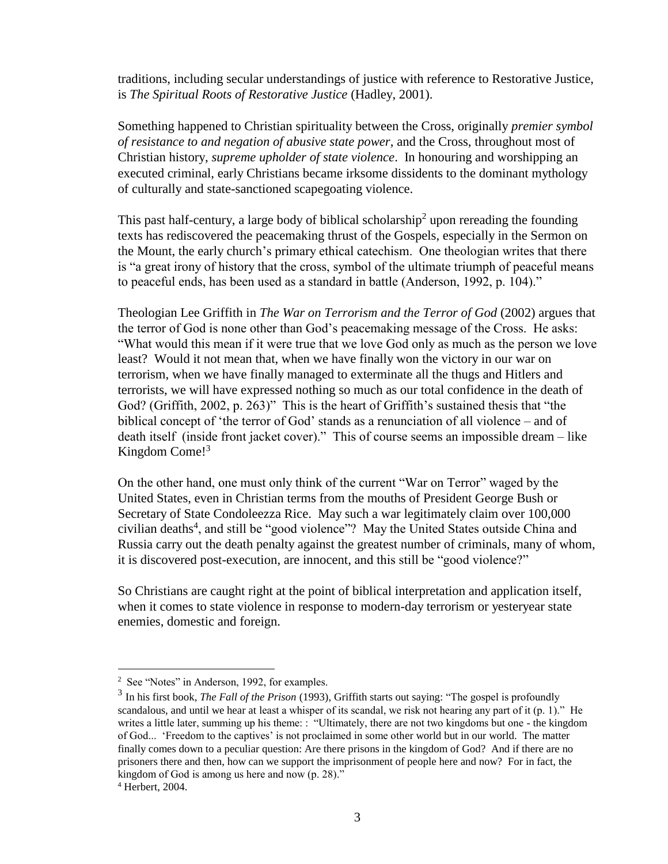traditions, including secular understandings of justice with reference to Restorative Justice, is *The Spiritual Roots of Restorative Justice* (Hadley, 2001).

Something happened to Christian spirituality between the Cross, originally *premier symbol of resistance to and negation of abusive state power*, and the Cross, throughout most of Christian history, *supreme upholder of state violence*. In honouring and worshipping an executed criminal, early Christians became irksome dissidents to the dominant mythology of culturally and state-sanctioned scapegoating violence.

This past half-century, a large body of biblical scholarship<sup>2</sup> upon rereading the founding texts has rediscovered the peacemaking thrust of the Gospels, especially in the Sermon on the Mount, the early church's primary ethical catechism. One theologian writes that there is "a great irony of history that the cross, symbol of the ultimate triumph of peaceful means to peaceful ends, has been used as a standard in battle (Anderson, 1992, p. 104)."

Theologian Lee Griffith in *The War on Terrorism and the Terror of God* (2002) argues that the terror of God is none other than God's peacemaking message of the Cross. He asks: "What would this mean if it were true that we love God only as much as the person we love least? Would it not mean that, when we have finally won the victory in our war on terrorism, when we have finally managed to exterminate all the thugs and Hitlers and terrorists, we will have expressed nothing so much as our total confidence in the death of God? (Griffith, 2002, p. 263)" This is the heart of Griffith's sustained thesis that "the biblical concept of 'the terror of God' stands as a renunciation of all violence – and of death itself (inside front jacket cover)." This of course seems an impossible dream – like Kingdom Come!<sup>3</sup>

On the other hand, one must only think of the current "War on Terror" waged by the United States, even in Christian terms from the mouths of President George Bush or Secretary of State Condoleezza Rice. May such a war legitimately claim over 100,000 civilian deaths<sup>4</sup>, and still be "good violence"? May the United States outside China and Russia carry out the death penalty against the greatest number of criminals, many of whom, it is discovered post-execution, are innocent, and this still be "good violence?"

So Christians are caught right at the point of biblical interpretation and application itself, when it comes to state violence in response to modern-day terrorism or yesteryear state enemies, domestic and foreign.

<u>.</u>

<sup>&</sup>lt;sup>2</sup> See "Notes" in Anderson, 1992, for examples.

<sup>3</sup> In his first book, *The Fall of the Prison* (1993), Griffith starts out saying: "The gospel is profoundly scandalous, and until we hear at least a whisper of its scandal, we risk not hearing any part of it (p. 1)." He writes a little later, summing up his theme: : "Ultimately, there are not two kingdoms but one - the kingdom of God... 'Freedom to the captives' is not proclaimed in some other world but in our world. The matter finally comes down to a peculiar question: Are there prisons in the kingdom of God? And if there are no prisoners there and then, how can we support the imprisonment of people here and now? For in fact, the kingdom of God is among us here and now (p. 28)."

<sup>4</sup> Herbert, 2004.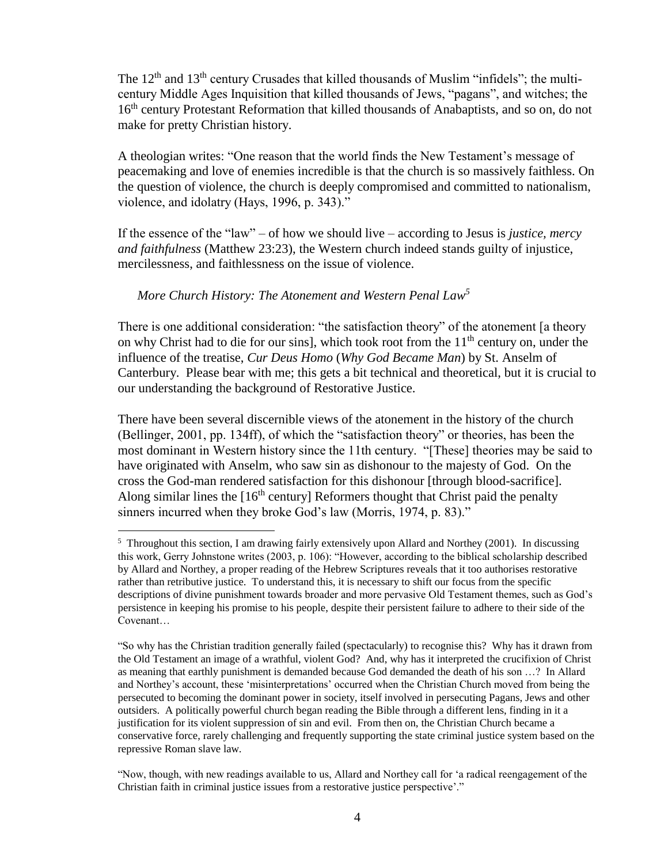The  $12<sup>th</sup>$  and  $13<sup>th</sup>$  century Crusades that killed thousands of Muslim "infidels"; the multicentury Middle Ages Inquisition that killed thousands of Jews, "pagans", and witches; the 16<sup>th</sup> century Protestant Reformation that killed thousands of Anabaptists, and so on, do not make for pretty Christian history.

A theologian writes: "One reason that the world finds the New Testament's message of peacemaking and love of enemies incredible is that the church is so massively faithless. On the question of violence, the church is deeply compromised and committed to nationalism, violence, and idolatry (Hays, 1996, p. 343)."

If the essence of the "law" – of how we should live – according to Jesus is *justice, mercy and faithfulness* (Matthew 23:23), the Western church indeed stands guilty of injustice, mercilessness, and faithlessness on the issue of violence.

#### *More Church History: The Atonement and Western Penal Law<sup>5</sup>*

<u>.</u>

There is one additional consideration: "the satisfaction theory" of the atonement [a theory on why Christ had to die for our sins], which took root from the  $11<sup>th</sup>$  century on, under the influence of the treatise, *Cur Deus Homo* (*Why God Became Man*) by St. Anselm of Canterbury. Please bear with me; this gets a bit technical and theoretical, but it is crucial to our understanding the background of Restorative Justice.

There have been several discernible views of the atonement in the history of the church (Bellinger, 2001, pp. 134ff), of which the "satisfaction theory" or theories, has been the most dominant in Western history since the 11th century. "[These] theories may be said to have originated with Anselm, who saw sin as dishonour to the majesty of God. On the cross the God-man rendered satisfaction for this dishonour [through blood-sacrifice]. Along similar lines the  $[16<sup>th</sup>$  century] Reformers thought that Christ paid the penalty sinners incurred when they broke God's law (Morris, 1974, p. 83)."

<sup>&</sup>lt;sup>5</sup> Throughout this section, I am drawing fairly extensively upon Allard and Northey (2001). In discussing this work, Gerry Johnstone writes (2003, p. 106): "However, according to the biblical scholarship described by Allard and Northey, a proper reading of the Hebrew Scriptures reveals that it too authorises restorative rather than retributive justice. To understand this, it is necessary to shift our focus from the specific descriptions of divine punishment towards broader and more pervasive Old Testament themes, such as God's persistence in keeping his promise to his people, despite their persistent failure to adhere to their side of the Covenant…

<sup>&</sup>quot;So why has the Christian tradition generally failed (spectacularly) to recognise this? Why has it drawn from the Old Testament an image of a wrathful, violent God? And, why has it interpreted the crucifixion of Christ as meaning that earthly punishment is demanded because God demanded the death of his son …? In Allard and Northey's account, these 'misinterpretations' occurred when the Christian Church moved from being the persecuted to becoming the dominant power in society, itself involved in persecuting Pagans, Jews and other outsiders. A politically powerful church began reading the Bible through a different lens, finding in it a justification for its violent suppression of sin and evil. From then on, the Christian Church became a conservative force, rarely challenging and frequently supporting the state criminal justice system based on the repressive Roman slave law.

<sup>&</sup>quot;Now, though, with new readings available to us, Allard and Northey call for 'a radical reengagement of the Christian faith in criminal justice issues from a restorative justice perspective'."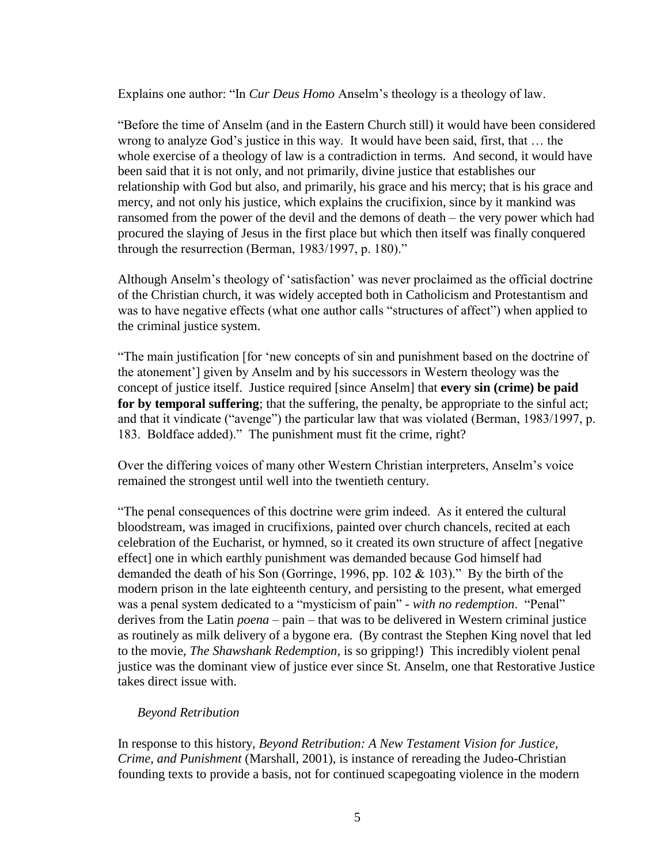Explains one author: "In *Cur Deus Homo* Anselm's theology is a theology of law.

"Before the time of Anselm (and in the Eastern Church still) it would have been considered wrong to analyze God's justice in this way. It would have been said, first, that … the whole exercise of a theology of law is a contradiction in terms. And second, it would have been said that it is not only, and not primarily, divine justice that establishes our relationship with God but also, and primarily, his grace and his mercy; that is his grace and mercy, and not only his justice, which explains the crucifixion, since by it mankind was ransomed from the power of the devil and the demons of death – the very power which had procured the slaying of Jesus in the first place but which then itself was finally conquered through the resurrection (Berman, 1983/1997, p. 180)."

Although Anselm's theology of 'satisfaction' was never proclaimed as the official doctrine of the Christian church, it was widely accepted both in Catholicism and Protestantism and was to have negative effects (what one author calls "structures of affect") when applied to the criminal justice system.

"The main justification [for 'new concepts of sin and punishment based on the doctrine of the atonement'] given by Anselm and by his successors in Western theology was the concept of justice itself. Justice required [since Anselm] that **every sin (crime) be paid for by temporal suffering**; that the suffering, the penalty, be appropriate to the sinful act; and that it vindicate ("avenge") the particular law that was violated (Berman, 1983/1997, p. 183. Boldface added)." The punishment must fit the crime, right?

Over the differing voices of many other Western Christian interpreters, Anselm's voice remained the strongest until well into the twentieth century.

"The penal consequences of this doctrine were grim indeed. As it entered the cultural bloodstream, was imaged in crucifixions, painted over church chancels, recited at each celebration of the Eucharist, or hymned, so it created its own structure of affect [negative effect] one in which earthly punishment was demanded because God himself had demanded the death of his Son (Gorringe, 1996, pp. 102 & 103)." By the birth of the modern prison in the late eighteenth century, and persisting to the present, what emerged was a penal system dedicated to a "mysticism of pain" - *with no redemption*. "Penal" derives from the Latin *poena* – pain – that was to be delivered in Western criminal justice as routinely as milk delivery of a bygone era. (By contrast the Stephen King novel that led to the movie, *The Shawshank Redemption*, is so gripping!) This incredibly violent penal justice was the dominant view of justice ever since St. Anselm, one that Restorative Justice takes direct issue with.

#### *Beyond Retribution*

In response to this history, *Beyond Retribution: A New Testament Vision for Justice, Crime, and Punishment* (Marshall, 2001), is instance of rereading the Judeo-Christian founding texts to provide a basis, not for continued scapegoating violence in the modern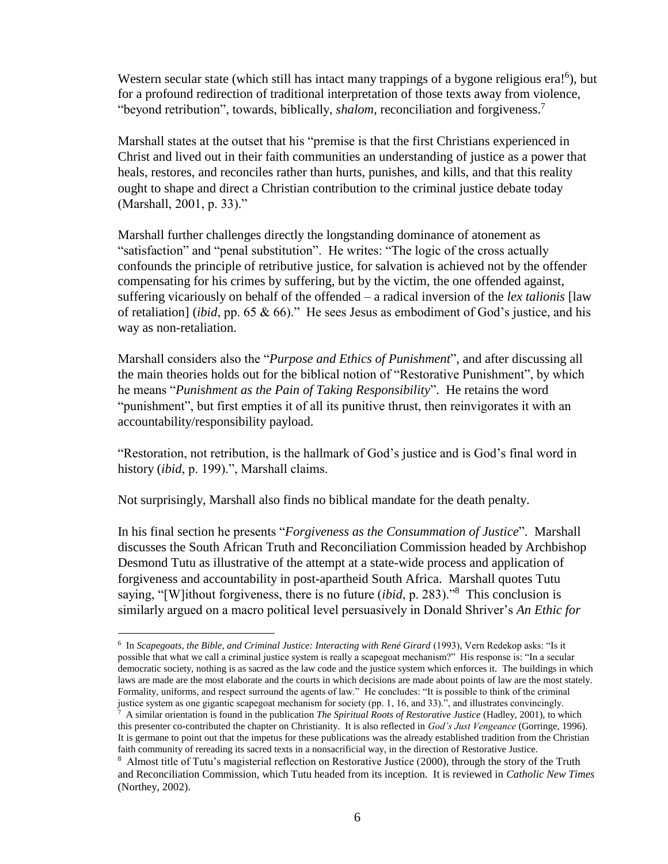Western secular state (which still has intact many trappings of a bygone religious era!<sup>6</sup>), but for a profound redirection of traditional interpretation of those texts away from violence, "beyond retribution", towards, biblically, *shalom,* reconciliation and forgiveness.<sup>7</sup>

Marshall states at the outset that his "premise is that the first Christians experienced in Christ and lived out in their faith communities an understanding of justice as a power that heals, restores, and reconciles rather than hurts, punishes, and kills, and that this reality ought to shape and direct a Christian contribution to the criminal justice debate today (Marshall, 2001, p. 33)."

Marshall further challenges directly the longstanding dominance of atonement as "satisfaction" and "penal substitution". He writes: "The logic of the cross actually confounds the principle of retributive justice, for salvation is achieved not by the offender compensating for his crimes by suffering, but by the victim, the one offended against, suffering vicariously on behalf of the offended – a radical inversion of the *lex talionis* [law of retaliation] (*ibid*, pp. 65 & 66)." He sees Jesus as embodiment of God's justice, and his way as non-retaliation.

Marshall considers also the "*Purpose and Ethics of Punishment*", and after discussing all the main theories holds out for the biblical notion of "Restorative Punishment", by which he means "*Punishment as the Pain of Taking Responsibility*". He retains the word "punishment", but first empties it of all its punitive thrust, then reinvigorates it with an accountability/responsibility payload.

"Restoration, not retribution, is the hallmark of God's justice and is God's final word in history (*ibid*, p. 199).", Marshall claims.

Not surprisingly, Marshall also finds no biblical mandate for the death penalty.

<u>.</u>

In his final section he presents "*Forgiveness as the Consummation of Justice*". Marshall discusses the South African Truth and Reconciliation Commission headed by Archbishop Desmond Tutu as illustrative of the attempt at a state-wide process and application of forgiveness and accountability in post-apartheid South Africa. Marshall quotes Tutu saying, "[W]ithout forgiveness, there is no future (*ibid*, p. 283)."<sup>8</sup> This conclusion is similarly argued on a macro political level persuasively in Donald Shriver's *An Ethic for* 

<sup>&</sup>lt;sup>6</sup> In *Scapegoats, the Bible, and Criminal Justice: Interacting with René Girard* (1993), Vern Redekop asks: "Is it possible that what we call a criminal justice system is really a scapegoat mechanism?" His response is: "In a secular democratic society, nothing is as sacred as the law code and the justice system which enforces it. The buildings in which laws are made are the most elaborate and the courts in which decisions are made about points of law are the most stately. Formality, uniforms, and respect surround the agents of law." He concludes: "It is possible to think of the criminal justice system as one gigantic scapegoat mechanism for society (pp. 1, 16, and 33).", and illustrates convincingly.

<sup>7</sup> A similar orientation is found in the publication *The Spiritual Roots of Restorative Justice* (Hadley, 2001), to which this presenter co-contributed the chapter on Christianity. It is also reflected in *God's Just Vengeance* (Gorringe, 1996). It is germane to point out that the impetus for these publications was the already established tradition from the Christian faith community of rereading its sacred texts in a nonsacrificial way, in the direction of Restorative Justice.

<sup>&</sup>lt;sup>8</sup> Almost title of Tutu's magisterial reflection on Restorative Justice (2000), through the story of the Truth and Reconciliation Commission, which Tutu headed from its inception. It is reviewed in *Catholic New Times*  (Northey, 2002).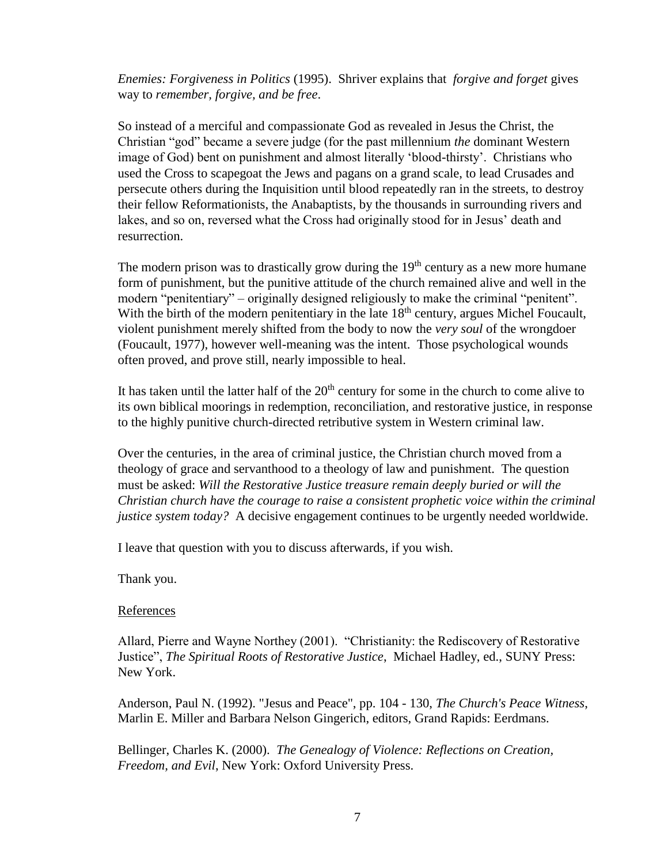*Enemies: Forgiveness in Politics* (1995). Shriver explains that *forgive and forget* gives way to *remember, forgive, and be free*.

So instead of a merciful and compassionate God as revealed in Jesus the Christ, the Christian "god" became a severe judge (for the past millennium *the* dominant Western image of God) bent on punishment and almost literally 'blood-thirsty'. Christians who used the Cross to scapegoat the Jews and pagans on a grand scale, to lead Crusades and persecute others during the Inquisition until blood repeatedly ran in the streets, to destroy their fellow Reformationists, the Anabaptists, by the thousands in surrounding rivers and lakes, and so on, reversed what the Cross had originally stood for in Jesus' death and resurrection.

The modern prison was to drastically grow during the  $19<sup>th</sup>$  century as a new more humane form of punishment, but the punitive attitude of the church remained alive and well in the modern "penitentiary" – originally designed religiously to make the criminal "penitent". With the birth of the modern penitentiary in the late  $18<sup>th</sup>$  century, argues Michel Foucault, violent punishment merely shifted from the body to now the *very soul* of the wrongdoer (Foucault, 1977), however well-meaning was the intent. Those psychological wounds often proved, and prove still, nearly impossible to heal.

It has taken until the latter half of the  $20<sup>th</sup>$  century for some in the church to come alive to its own biblical moorings in redemption, reconciliation, and restorative justice, in response to the highly punitive church-directed retributive system in Western criminal law.

Over the centuries, in the area of criminal justice, the Christian church moved from a theology of grace and servanthood to a theology of law and punishment. The question must be asked: *Will the Restorative Justice treasure remain deeply buried or will the Christian church have the courage to raise a consistent prophetic voice within the criminal justice system today?* A decisive engagement continues to be urgently needed worldwide.

I leave that question with you to discuss afterwards, if you wish.

Thank you.

#### References

Allard, Pierre and Wayne Northey (2001). "Christianity: the Rediscovery of Restorative Justice", *The Spiritual Roots of Restorative Justice*, Michael Hadley, ed., SUNY Press: New York.

Anderson, Paul N. (1992). "Jesus and Peace", pp. 104 - 130, *The Church's Peace Witness*, Marlin E. Miller and Barbara Nelson Gingerich, editors, Grand Rapids: Eerdmans.

Bellinger, Charles K. (2000). *The Genealogy of Violence: Reflections on Creation, Freedom, and Evil*, New York: Oxford University Press.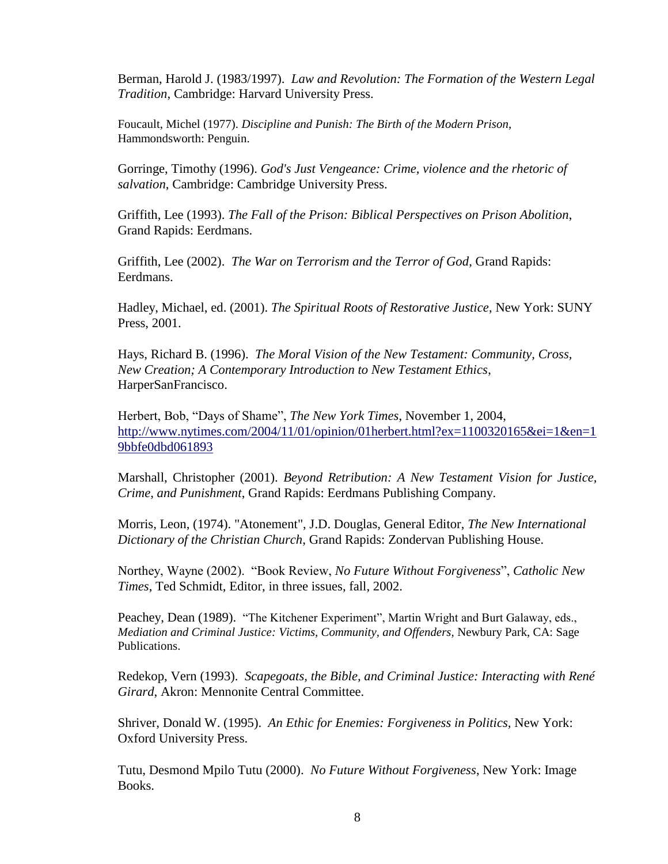Berman, Harold J. (1983/1997). *Law and Revolution: The Formation of the Western Legal Tradition*, Cambridge: Harvard University Press.

Foucault, Michel (1977). *Discipline and Punish: The Birth of the Modern Prison*, Hammondsworth: Penguin.

Gorringe, Timothy (1996). *God's Just Vengeance: Crime, violence and the rhetoric of salvation*, Cambridge: Cambridge University Press.

Griffith, Lee (1993). *The Fall of the Prison: Biblical Perspectives on Prison Abolition*, Grand Rapids: Eerdmans.

Griffith, Lee (2002). *The War on Terrorism and the Terror of God*, Grand Rapids: Eerdmans.

Hadley, Michael, ed. (2001). *The Spiritual Roots of Restorative Justice*, New York: SUNY Press, 2001.

Hays, Richard B. (1996). *The Moral Vision of the New Testament: Community, Cross, New Creation; A Contemporary Introduction to New Testament Ethics*, HarperSanFrancisco.

Herbert, Bob, "Days of Shame", *The New York Times*, November 1, 2004, [http://www.nytimes.com/2004/11/01/opinion/01herbert.html?ex=1100320165&ei=1&en=1](http://www.nytimes.com/2004/11/01/opinion/01herbert.html?ex=1100320165&ei=1&en=19bbfe0dbd061893) [9bbfe0dbd061893](http://www.nytimes.com/2004/11/01/opinion/01herbert.html?ex=1100320165&ei=1&en=19bbfe0dbd061893)

Marshall, Christopher (2001). *Beyond Retribution: A New Testament Vision for Justice, Crime, and Punishment*, Grand Rapids: Eerdmans Publishing Company.

Morris, Leon, (1974). "Atonement", J.D. Douglas, General Editor, *The New International Dictionary of the Christian Church*, Grand Rapids: Zondervan Publishing House.

Northey, Wayne (2002). "Book Review, *No Future Without Forgiveness*", *Catholic New Times*, Ted Schmidt, Editor, in three issues, fall, 2002.

Peachey, Dean (1989). "The Kitchener Experiment", Martin Wright and Burt Galaway, eds., *Mediation and Criminal Justice: Victims, Community, and Offenders, Newbury Park, CA: Sage* Publications.

Redekop, Vern (1993). *Scapegoats, the Bible, and Criminal Justice: Interacting with René Girard*, Akron: Mennonite Central Committee.

Shriver, Donald W. (1995). *An Ethic for Enemies: Forgiveness in Politics,* New York: Oxford University Press.

Tutu, Desmond Mpilo Tutu (2000). *No Future Without Forgiveness*, New York: Image Books.